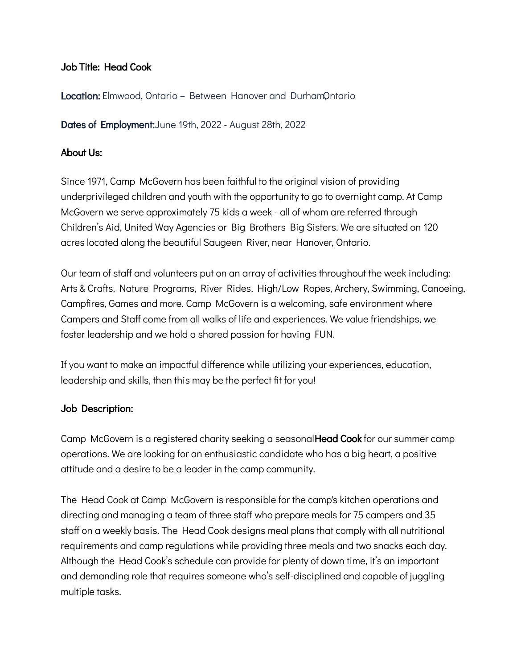## Job Title: Head Cook

**Location:** Elmwood, Ontario – Between Hanover and DurhamOntario

Dates of Employment: June 19th, 2022 - August 28th, 2022

### About Us:

Since 1971, Camp McGovern has been faithful to the original vision of providing underprivileged children and youth with the opportunity to go to overnight camp. At Camp McGovern we serve approximately 75 kids a week - all of whom are referred through Children's Aid, United Way Agencies or Big Brothers Big Sisters. We are situated on 120 acres located along the beautiful Saugeen River, near Hanover, Ontario.

Our team of staff and volunteers put on an array of activities throughout the week including: Arts & Crafts, Nature Programs, River Rides, High/Low Ropes, Archery, Swimming, Canoeing, Campfires, Games and more. Camp McGovern is a welcoming, safe environment where Campers and Staff come from all walks of life and experiences. We value friendships, we foster leadership and we hold a shared passion for having FUN.

If you want to make an impactful difference while utilizing your experiences, education, leadership and skills, then this may be the perfect fit for you!

#### Job Description:

Camp McGovern is a registered charity seeking a seasonal **Head Cook** for our summer camp operations. We are looking for an enthusiastic candidate who has a big heart, a positive attitude and a desire to be a leader in the camp community.

The Head Cook at Camp McGovern is responsible for the camp's kitchen operations and directing and managing a team of three staff who prepare meals for 75 campers and 35 staff on a weekly basis. The Head Cook designs meal plans that comply with all nutritional requirements and camp regulations while providing three meals and two snacks each day. Although the Head Cook's schedule can provide for plenty of down time, it's an important and demanding role that requires someone who's self-disciplined and capable of juggling multiple tasks.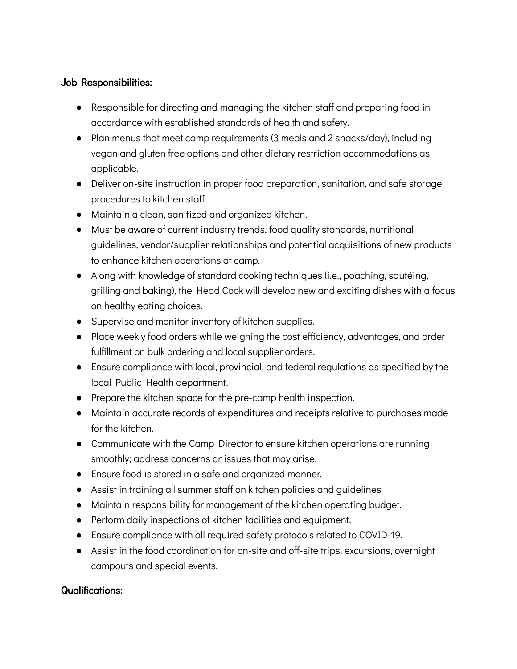## Job Responsibilities:

- Responsible for directing and managing the kitchen staff and preparing food in accordance with established standards of health and safety.
- Plan menus that meet camp requirements (3 meals and 2 snacks/day), including vegan and gluten free options and other dietary restriction accommodations as applicable.
- Deliver on-site instruction in proper food preparation, sanitation, and safe storage procedures to kitchen staff.
- Maintain a clean, sanitized and organized kitchen.
- Must be aware of current industry trends, food quality standards, nutritional guidelines, vendor/supplier relationships and potential acquisitions of new products to enhance kitchen operations at camp.
- Along with knowledge of standard cooking techniques (i.e., poaching, sautéing, grilling and baking), the Head Cook will develop new and exciting dishes with a focus on healthy eating choices.
- Supervise and monitor inventory of kitchen supplies.
- Place weekly food orders while weighing the cost efficiency, advantages, and order fulfillment on bulk ordering and local supplier orders.
- Ensure compliance with local, provincial, and federal regulations as specified by the local Public Health department.
- Prepare the kitchen space for the pre-camp health inspection.
- Maintain accurate records of expenditures and receipts relative to purchases made for the kitchen.
- Communicate with the Camp Director to ensure kitchen operations are running smoothly; address concerns or issues that may arise.
- Ensure food is stored in a safe and organized manner.
- Assist in training all summer staff on kitchen policies and guidelines
- Maintain responsibility for management of the kitchen operating budget.
- Perform daily inspections of kitchen facilities and equipment.
- Ensure compliance with all required safety protocols related to COVID-19.
- Assist in the food coordination for on-site and off-site trips, excursions, overnight campouts and special events.

# Qualifications: